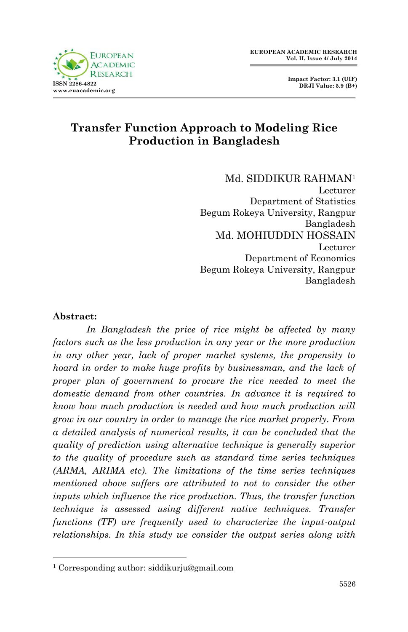

# **Transfer Function Approach to Modeling Rice Production in Bangladesh**

Md. SIDDIKUR RAHMAN<sup>1</sup> Lecturer Department of Statistics Begum Rokeya University, Rangpur Bangladesh Md. MOHIUDDIN HOSSAIN Lecturer Department of Economics Begum Rokeya University, Rangpur Bangladesh

#### **Abstract:**

1

*In Bangladesh the price of rice might be affected by many factors such as the less production in any year or the more production in any other year, lack of proper market systems, the propensity to hoard in order to make huge profits by businessman, and the lack of proper plan of government to procure the rice needed to meet the domestic demand from other countries. In advance it is required to know how much production is needed and how much production will grow in our country in order to manage the rice market properly. From a detailed analysis of numerical results, it can be concluded that the quality of prediction using alternative technique is generally superior to the quality of procedure such as standard time series techniques (ARMA, ARIMA etc). The limitations of the time series techniques mentioned above suffers are attributed to not to consider the other inputs which influence the rice production. Thus, the transfer function technique is assessed using different native techniques. Transfer functions (TF) are frequently used to characterize the input-output relationships. In this study we consider the output series along with* 

<sup>1</sup> Corresponding author: siddikurju@gmail.com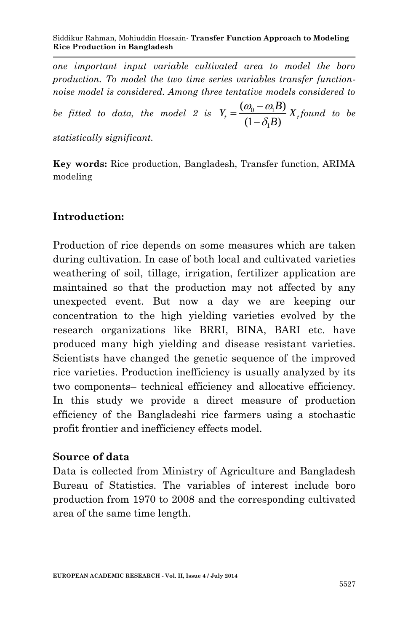*one important input variable cultivated area to model the boro production. To model the two time series variables transfer functionnoise model is considered. Among three tentative models considered to* 

*be fitted to data, the model 2 is*  $Y_t = \frac{(w_0 - w_1)}{w_0 - w_1}$ 1  $(\omega_0 - \omega_1 B)$  $t = \frac{1}{(1 - \delta_1 B)} \Lambda$  $Y_t = \frac{(\omega_0 - \omega_1 B)}{(\omega_0 - \omega_1 B)} X$ *B*  $\omega_0 - \omega_1 l$  $\delta$  $=\frac{(\omega_0 - \omega_0)}{(\omega_0 - \omega_0)}$  $\frac{(-1)^{n-1}}{-\delta_1 B} X_t$  found to be

*statistically significant.*

**Key words:** Rice production, Bangladesh, Transfer function, ARIMA modeling

# **Introduction:**

Production of rice depends on some measures which are taken during cultivation. In case of both local and cultivated varieties weathering of soil, tillage, irrigation, fertilizer application are maintained so that the production may not affected by any unexpected event. But now a day we are keeping our concentration to the high yielding varieties evolved by the research organizations like BRRI, BINA, BARI etc. have produced many high yielding and disease resistant varieties. Scientists have changed the genetic sequence of the improved rice varieties. Production inefficiency is usually analyzed by its two components– technical efficiency and allocative efficiency. In this study we provide a direct measure of production efficiency of the Bangladeshi rice farmers using a stochastic profit frontier and inefficiency effects model.

### **Source of data**

Data is collected from Ministry of Agriculture and Bangladesh Bureau of Statistics. The variables of interest include boro production from 1970 to 2008 and the corresponding cultivated area of the same time length.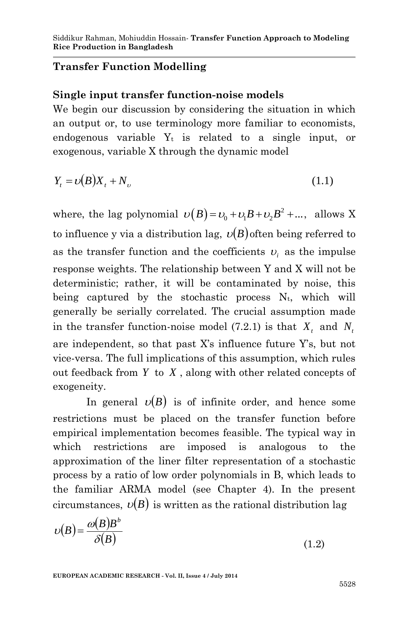### **Transfer Function Modelling**

#### **Single input transfer function-noise models**

We begin our discussion by considering the situation in which an output or, to use terminology more familiar to economists, endogenous variable  $Y_t$  is related to a single input, or exogenous, variable X through the dynamic model

$$
Y_t = \nu(B)X_t + N_\nu \tag{1.1}
$$

where, the lag polynomial  $\upsilon(B) = \upsilon_0 + \upsilon_1 B + \upsilon_2 B^2 + ...$ , allows X to influence y via a distribution lag,  $\nu(B)$  often being referred to as the transfer function and the coefficients  $v_i$  as the impulse response weights. The relationship between Y and X will not be deterministic; rather, it will be contaminated by noise, this being captured by the stochastic process  $N_t$ , which will generally be serially correlated. The crucial assumption made in the transfer function-noise model (7.2.1) is that  $X_t$  and  $N_t$ are independent, so that past X's influence future Y's, but not vice-versa. The full implications of this assumption, which rules out feedback from *Y* to *X* , along with other related concepts of exogeneity.

In general  $\nu(B)$  is of infinite order, and hence some restrictions must be placed on the transfer function before empirical implementation becomes feasible. The typical way in which restrictions are imposed is analogous to the approximation of the liner filter representation of a stochastic process by a ratio of low order polynomials in B, which leads to the familiar ARMA model (see Chapter 4). In the present circumstances,  $\nu(B)$  is written as the rational distribution lag

$$
\upsilon(B) = \frac{\omega(B)B^b}{\delta(B)}
$$
\n(1.2)

**EUROPEAN ACADEMIC RESEARCH - Vol. II, Issue 4 / July 2014**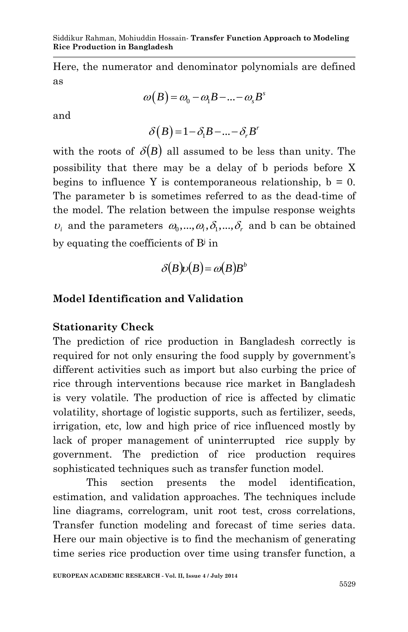Here, the numerator and denominator polynomials are defined as

$$
\omega(B) = \omega_0 - \omega_1 B - \dots - \omega_s B^s
$$

and

$$
\delta(B) = 1 - \delta_1 B - \dots - \delta_r B^r
$$

with the roots of  $\delta(B)$  all assumed to be less than unity. The possibility that there may be a delay of b periods before X begins to influence Y is contemporaneous relationship,  $b = 0$ . The parameter b is sometimes referred to as the dead-time of the model. The relation between the impulse response weights  $v_i$  and the parameters  $\omega_0, ..., \omega_i, \delta_1, ..., \delta_r$  and b can be obtained by equating the coefficients of  $B^j$  in

$$
\delta(B)\nu(B) = \omega(B)B^b
$$

## **Model Identification and Validation**

### **Stationarity Check**

The prediction of rice production in Bangladesh correctly is required for not only ensuring the food supply by government's different activities such as import but also curbing the price of rice through interventions because rice market in Bangladesh is very volatile. The production of rice is affected by climatic volatility, shortage of logistic supports, such as fertilizer, seeds, irrigation, etc, low and high price of rice influenced mostly by lack of proper management of uninterrupted rice supply by government. The prediction of rice production requires sophisticated techniques such as transfer function model.

This section presents the model identification, estimation, and validation approaches. The techniques include line diagrams, correlogram, unit root test, cross correlations, Transfer function modeling and forecast of time series data. Here our main objective is to find the mechanism of generating time series rice production over time using transfer function, a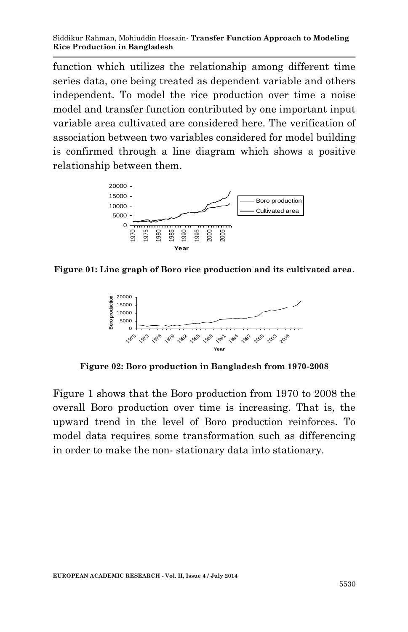function which utilizes the relationship among different time series data, one being treated as dependent variable and others independent. To model the rice production over time a noise model and transfer function contributed by one important input variable area cultivated are considered here. The verification of association between two variables considered for model building is confirmed through a line diagram which shows a positive relationship between them.



**Figure 01: Line graph of Boro rice production and its cultivated area**.



**Figure 02: Boro production in Bangladesh from 1970-2008**

Figure 1 shows that the Boro production from 1970 to 2008 the overall Boro production over time is increasing. That is, the upward trend in the level of Boro production reinforces. To model data requires some transformation such as differencing in order to make the non- stationary data into stationary.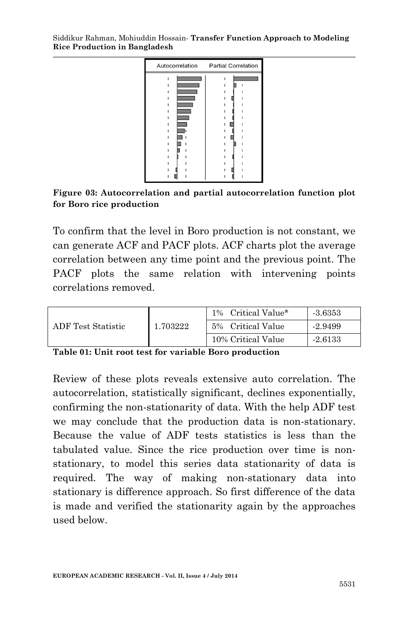

**Figure 03: Autocorrelation and partial autocorrelation function plot for Boro rice production**

To confirm that the level in Boro production is not constant, we can generate ACF and PACF plots. ACF charts plot the average correlation between any time point and the previous point. The PACF plots the same relation with intervening points correlations removed.

|                    |          | 1% Critical Value* | $-3.6353$ |
|--------------------|----------|--------------------|-----------|
| ADF Test Statistic | 1.703222 | 5% Critical Value  | -2.9499   |
|                    |          | 10% Critical Value | $-2.6133$ |

**Table 01: Unit root test for variable Boro production**

Review of these plots reveals extensive auto correlation. The autocorrelation, statistically significant, declines exponentially, confirming the non-stationarity of data. With the help ADF test we may conclude that the production data is non-stationary. Because the value of ADF tests statistics is less than the tabulated value. Since the rice production over time is nonstationary, to model this series data stationarity of data is required. The way of making non-stationary data into stationary is difference approach. So first difference of the data is made and verified the stationarity again by the approaches used below.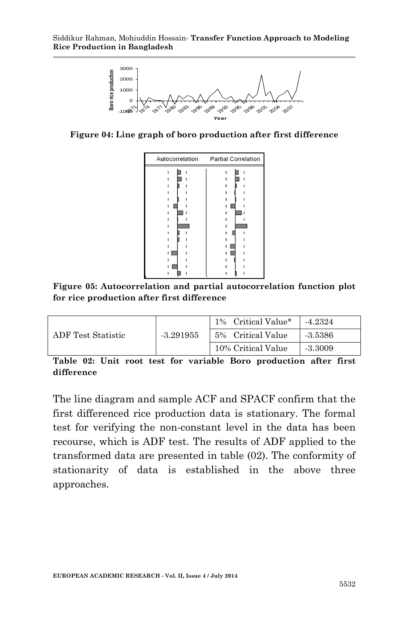

**Figure 04: Line graph of boro production after first difference**

| Autocorrelation | <b>Partial Correlation</b> |
|-----------------|----------------------------|
|                 |                            |
|                 |                            |
|                 |                            |
|                 |                            |
|                 |                            |
|                 |                            |
|                 |                            |
|                 |                            |
|                 |                            |
|                 |                            |
|                 |                            |
|                 |                            |
|                 |                            |
|                 |                            |
|                 |                            |
|                 |                            |

**Figure 05: Autocorrelation and partial autocorrelation function plot for rice production after first difference**

| ADF Test Statistic |             | 1% Critical Value* | -4.2324   |
|--------------------|-------------|--------------------|-----------|
|                    | $-3.291955$ | 5% Critical Value  | $-3.5386$ |
|                    |             | 10% Critical Value | $-3.3009$ |

**Table 02: Unit root test for variable Boro production after first difference**

The line diagram and sample ACF and SPACF confirm that the first differenced rice production data is stationary. The formal test for verifying the non-constant level in the data has been recourse, which is ADF test. The results of ADF applied to the transformed data are presented in table (02). The conformity of stationarity of data is established in the above three approaches.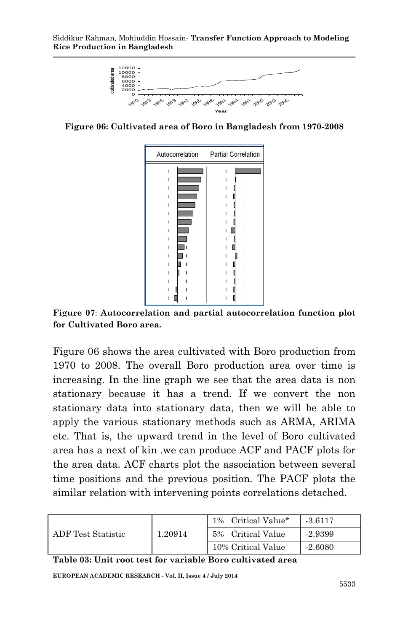

**Figure 06: Cultivated area of Boro in Bangladesh from 1970-2008**

| Autocorrelation | <b>Partial Correlation</b> |
|-----------------|----------------------------|
|                 |                            |
|                 |                            |
|                 |                            |
|                 |                            |
|                 |                            |
|                 |                            |
|                 |                            |
|                 |                            |
|                 |                            |
|                 |                            |
|                 |                            |
|                 |                            |
|                 |                            |
|                 |                            |
|                 |                            |
|                 |                            |

**Figure 07**: **Autocorrelation and partial autocorrelation function plot for Cultivated Boro area.**

Figure 06 shows the area cultivated with Boro production from 1970 to 2008. The overall Boro production area over time is increasing. In the line graph we see that the area data is non stationary because it has a trend. If we convert the non stationary data into stationary data, then we will be able to apply the various stationary methods such as ARMA, ARIMA etc. That is, the upward trend in the level of Boro cultivated area has a next of kin .we can produce ACF and PACF plots for the area data. ACF charts plot the association between several time positions and the previous position. The PACF plots the similar relation with intervening points correlations detached.

| ADF Test Statistic | 1.20914 | 1% Critical Value* | $-3.6117$ |
|--------------------|---------|--------------------|-----------|
|                    |         | 5% Critical Value  | -2.9399   |
|                    |         | 10% Critical Value | -2.6080   |

**Table 03: Unit root test for variable Boro cultivated area**

**EUROPEAN ACADEMIC RESEARCH - Vol. II, Issue 4 / July 2014**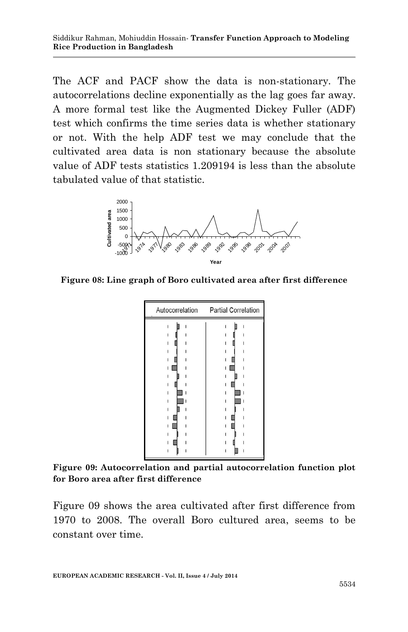The ACF and PACF show the data is non-stationary. The autocorrelations decline exponentially as the lag goes far away. A more formal test like the Augmented Dickey Fuller (ADF) test which confirms the time series data is whether stationary or not. With the help ADF test we may conclude that the cultivated area data is non stationary because the absolute value of ADF tests statistics 1.209194 is less than the absolute tabulated value of that statistic.



**Figure 08: Line graph of Boro cultivated area after first difference**



**Figure 09: Autocorrelation and partial autocorrelation function plot for Boro area after first difference**

Figure 09 shows the area cultivated after first difference from 1970 to 2008. The overall Boro cultured area, seems to be constant over time.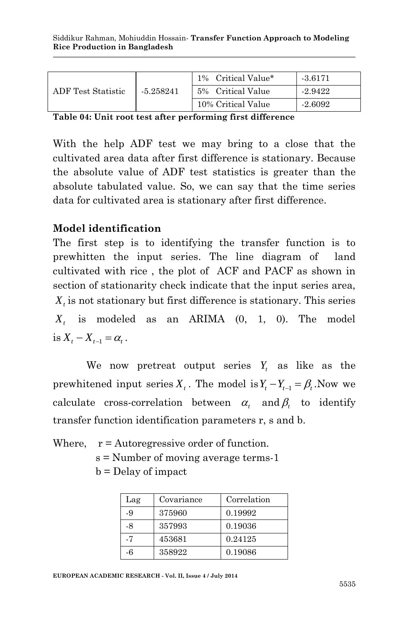| ADF Test Statistic |             | Critical Value*<br>$1\%$ | $-3.6171$ |
|--------------------|-------------|--------------------------|-----------|
|                    | $-5.258241$ | 5% Critical Value        | $-2.9422$ |
|                    |             | 10% Critical Value       | $-2.6092$ |

**Table 04: Unit root test after performing first difference**

With the help ADF test we may bring to a close that the cultivated area data after first difference is stationary. Because the absolute value of ADF test statistics is greater than the absolute tabulated value. So, we can say that the time series data for cultivated area is stationary after first difference.

## **Model identification**

The first step is to identifying the transfer function is to prewhitten the input series. The line diagram of land cultivated with rice , the plot of ACF and PACF as shown in section of stationarity check indicate that the input series area, *Xt* is not stationary but first difference is stationary. This series *Xt* is modeled as an ARIMA (0, 1, 0). The model is  $X_t - X_{t-1} = \alpha_t$ .

We now pretreat output series  $Y_t$  as like as the prewhitened input series  $X_t$ . The model is  $Y_t - Y_{t-1} = \beta_t$ . Now we calculate cross-correlation between  $\alpha_t$  and  $\beta_t$  to identify transfer function identification parameters r, s and b.

Where,  $r =$  Autoregressive order of function.

s = Number of moving average terms-1

b = Delay of impact

| Lag | Covariance | Correlation |
|-----|------------|-------------|
| -9  | 375960     | 0.19992     |
| -8  | 357993     | 0.19036     |
| -7  | 453681     | 0.24125     |
| -6  | 358922     | 0.19086     |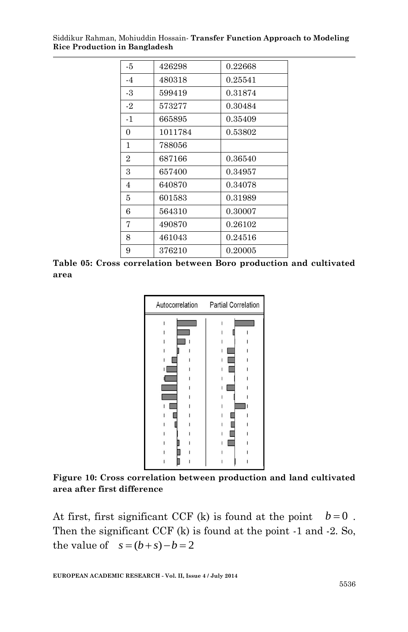| -5             | 426298  | 0.22668 |
|----------------|---------|---------|
| $-4$           | 480318  | 0.25541 |
| -3             | 599419  | 0.31874 |
| $-2$           | 573277  | 0.30484 |
| $-1$           | 665895  | 0.35409 |
| 0              | 1011784 | 0.53802 |
| 1              | 788056  |         |
| $\overline{2}$ | 687166  | 0.36540 |
| 3              | 657400  | 0.34957 |
| 4              | 640870  | 0.34078 |
| 5              | 601583  | 0.31989 |
| 6              | 564310  | 0.30007 |
| 7              | 490870  | 0.26102 |
| 8              | 461043  | 0.24516 |
| 9              | 376210  | 0.20005 |

**Table 05: Cross correlation between Boro production and cultivated area**



**Figure 10: Cross correlation between production and land cultivated area after first difference**

At first, first significant CCF (k) is found at the point  $b=0$ . Then the significant CCF (k) is found at the point -1 and -2. So, the value of  $s = (b + s) - b = 2$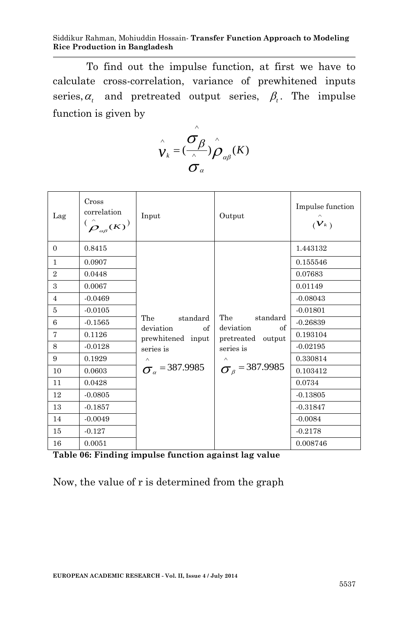To find out the impulse function, at first we have to calculate cross-correlation, variance of prewhitened inputs series,  $\alpha_t$  and pretreated output series,  $\beta_t$ . The impulse function is given by

$$
\hat{\mathbf{v}}_k = (\frac{\hat{\mathbf{v}}_{\beta}}{\hat{\mathbf{v}}_{\alpha\beta}}) \hat{\hat{\mathbf{p}}}_{\alpha\beta}(K)
$$

| Lag            | Cross<br>correlation<br>$(\overset{\wedge}{\rho}_{\scriptscriptstyle{\alpha\beta}}(\overline{\cal K}))$ | Input                                                                | Output                                                               | Impulse function<br>$(\mathcal{V}_k)$ |
|----------------|---------------------------------------------------------------------------------------------------------|----------------------------------------------------------------------|----------------------------------------------------------------------|---------------------------------------|
| $\Omega$       | 0.8415                                                                                                  |                                                                      |                                                                      | 1.443132                              |
| $\mathbf{1}$   | 0.0907                                                                                                  |                                                                      |                                                                      | 0.155546                              |
| $\overline{2}$ | 0.0448                                                                                                  |                                                                      |                                                                      | 0.07683                               |
| 3              | 0.0067                                                                                                  |                                                                      |                                                                      | 0.01149                               |
| $\overline{4}$ | $-0.0469$                                                                                               |                                                                      | The<br>standard<br>deviation<br>of<br>pretreated output<br>series is | $-0.08043$                            |
| 5              | $-0.0105$                                                                                               | The<br>standard<br>deviation<br>of<br>prewhitened input<br>series is |                                                                      | $-0.01801$                            |
| 6              | $-0.1565$                                                                                               |                                                                      |                                                                      | $-0.26839$                            |
| 7              | 0.1126                                                                                                  |                                                                      |                                                                      | 0.193104                              |
| 8              | $-0.0128$                                                                                               |                                                                      |                                                                      | $-0.02195$                            |
| 9              | 0.1929                                                                                                  |                                                                      |                                                                      | 0.330814                              |
| 10             | 0.0603                                                                                                  | $\sigma_{a}$ = 387.9985                                              | $\sigma_{\beta}$ = 387.9985                                          | 0.103412                              |
| 11             | 0.0428                                                                                                  |                                                                      |                                                                      | 0.0734                                |
| 12             | $-0.0805$                                                                                               |                                                                      |                                                                      | $-0.13805$                            |
| 13             | $-0.1857$                                                                                               |                                                                      |                                                                      | $-0.31847$                            |
| 14             | $-0.0049$                                                                                               |                                                                      |                                                                      | $-0.0084$                             |
| 15             | $-0.127$                                                                                                |                                                                      |                                                                      | $-0.2178$                             |
| 16             | 0.0051                                                                                                  |                                                                      |                                                                      | 0.008746                              |

**Table 06: Finding impulse function against lag value**

Now, the value of r is determined from the graph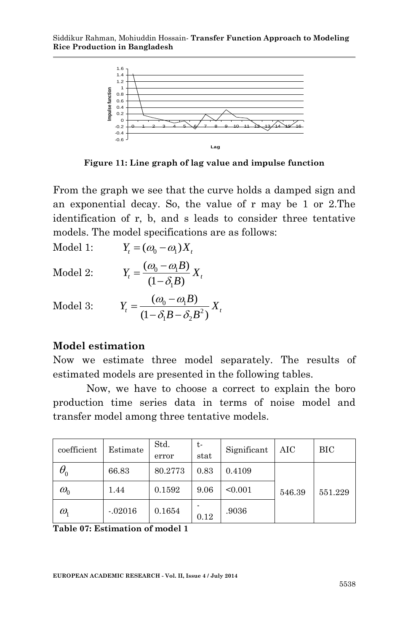

**Figure 11: Line graph of lag value and impulse function**

From the graph we see that the curve holds a damped sign and an exponential decay. So, the value of r may be 1 or 2.The identification of r, b, and s leads to consider three tentative models. The model specifications are as follows:

Model 1: 
$$
Y_t = (\omega_0 - \omega_1)X_t
$$
  
Model 2:  $Y = (\omega_0 - \omega_1 B)Y_t$ 

$$
\text{Model 2:} \qquad Y_t = \frac{(\omega_0 - \omega_1 B)}{(1 - \delta_1 B)} X_t
$$

Model 3: 
$$
Y_t = \frac{(\omega_0 - \omega_1 B)}{(1 - \delta_1 B - \delta_2 B^2)} X_t
$$

#### **Model estimation**

 $\overline{1}$   $\overline{1}$   $\overline{1}$ 

Now we estimate three model separately. The results of estimated models are presented in the following tables.

Now, we have to choose a correct to explain the boro production time series data in terms of noise model and transfer model among three tentative models.

| coefficient                     | Estimate  | Std.<br>error | t-<br>stat | Significant | AIC    | BІC     |
|---------------------------------|-----------|---------------|------------|-------------|--------|---------|
| $\theta_{\scriptscriptstyle 0}$ | 66.83     | 80.2773       | 0.83       | 0.4109      |        |         |
| $\omega_{0}$                    | 1.44      | 0.1592        | 9.06       | < 0.001     | 546.39 | 551.229 |
| $\omega_{1}$                    | $-.02016$ | 0.1654        | 0.12       | .9036       |        |         |

**Table 07: Estimation of model 1**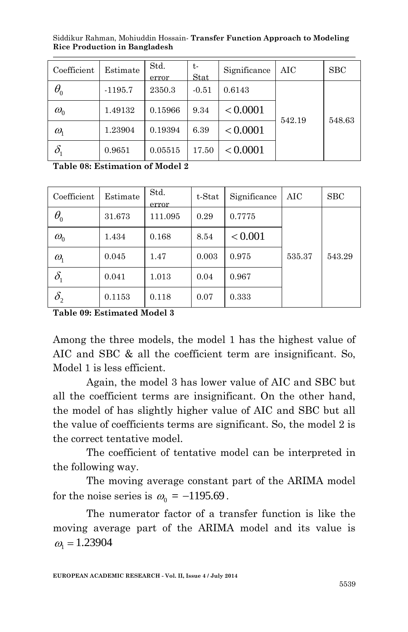| Coefficient                     | Estimate  | Std.<br>error | t-<br>Stat | Significance | AIC    | SBC    |
|---------------------------------|-----------|---------------|------------|--------------|--------|--------|
| $\theta_{\scriptscriptstyle 0}$ | $-1195.7$ | 2350.3        | $-0.51$    | 0.6143       |        |        |
| $\omega_{0}$                    | 1.49132   | 0.15966       | 9.34       | < 0.0001     | 542.19 | 548.63 |
| $\omega_{\text{\tiny{l}}}$      | 1.23904   | 0.19394       | 6.39       | < 0.0001     |        |        |
| $\delta_{\scriptscriptstyle 1}$ | 0.9651    | 0.05515       | 17.50      | < 0.0001     |        |        |

Siddikur Rahman, Mohiuddin Hossain*-* **Transfer Function Approach to Modeling Rice Production in Bangladesh**

**Table 08: Estimation of Model 2**

| Coefficient                      | Estimate | Std.<br>error | t-Stat | Significance | AIC    | SBC    |
|----------------------------------|----------|---------------|--------|--------------|--------|--------|
| $\theta_{\scriptscriptstyle 0}$  | 31.673   | 111.095       | 0.29   | 0.7775       |        |        |
| $\omega_{0}$                     | 1.434    | 0.168         | 8.54   | < 0.001      |        |        |
| $\omega_{1}$                     | 0.045    | 1.47          | 0.003  | 0.975        | 535.37 | 543.29 |
| $\delta_{\scriptscriptstyle{1}}$ | 0.041    | 1.013         | 0.04   | 0.967        |        |        |
| $\delta_{\scriptscriptstyle 2}$  | 0.1153   | 0.118         | 0.07   | 0.333        |        |        |

**Table 09: Estimated Model 3**

Among the three models, the model 1 has the highest value of AIC and SBC & all the coefficient term are insignificant. So, Model 1 is less efficient.

Again, the model 3 has lower value of AIC and SBC but all the coefficient terms are insignificant. On the other hand, the model of has slightly higher value of AIC and SBC but all the value of coefficients terms are significant. So, the model 2 is the correct tentative model.

The coefficient of tentative model can be interpreted in the following way.

The moving average constant part of the ARIMA model for the noise series is  $\omega_0 = -1195.69$ .

The numerator factor of a transfer function is like the moving average part of the ARIMA model and its value is  $\omega_{\rm i} = 1.23904$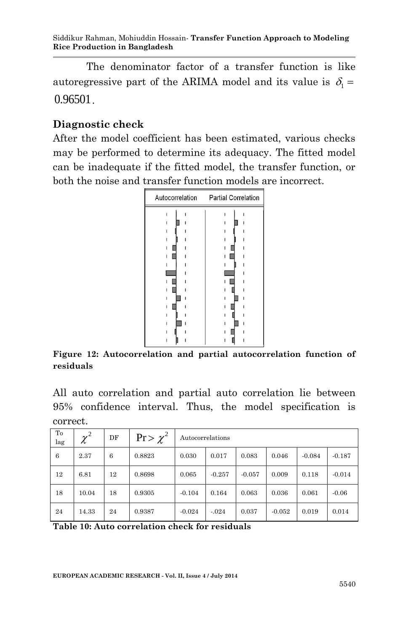The denominator factor of a transfer function is like autoregressive part of the ARIMA model and its value is  $\delta_i =$ 0.96501.

### **Diagnostic check**

After the model coefficient has been estimated, various checks may be performed to determine its adequacy. The fitted model can be inadequate if the fitted model, the transfer function, or both the noise and transfer function models are incorrect.



**Figure 12: Autocorrelation and partial autocorrelation function of residuals**

All auto correlation and partial auto correlation lie between 95% confidence interval. Thus, the model specification is correct.

| To<br>lag | $\chi^2$ | DF | $Pr > \chi^2$ | Autocorrelations |          |          |          |          |          |
|-----------|----------|----|---------------|------------------|----------|----------|----------|----------|----------|
| 6         | 2.37     | 6  | 0.8823        | 0.030            | 0.017    | 0.083    | 0.046    | $-0.084$ | $-0.187$ |
| 12        | 6.81     | 12 | 0.8698        | 0.065            | $-0.257$ | $-0.057$ | 0.009    | 0.118    | $-0.014$ |
| 18        | 10.04    | 18 | 0.9305        | $-0.104$         | 0.164    | 0.063    | 0.036    | 0.061    | $-0.06$  |
| 24        | 14.33    | 24 | 0.9387        | $-0.024$         | $-.024$  | 0.037    | $-0.052$ | 0.019    | 0.014    |

**Table 10: Auto correlation check for residuals**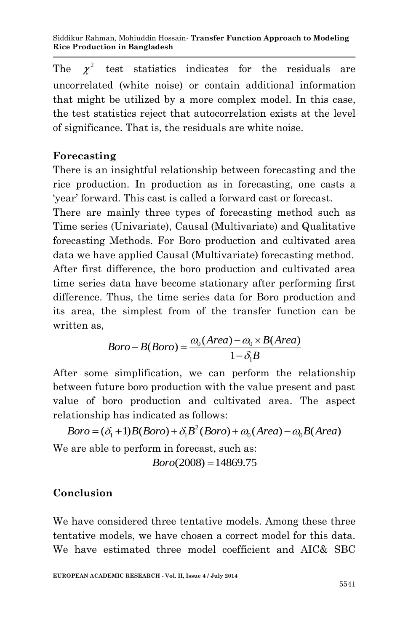The  $\chi^2$  test statistics indicates for the residuals are uncorrelated (white noise) or contain additional information that might be utilized by a more complex model. In this case, the test statistics reject that autocorrelation exists at the level of significance. That is, the residuals are white noise.

# **Forecasting**

There is an insightful relationship between forecasting and the rice production. In production as in forecasting, one casts a 'year' forward. This cast is called a forward cast or forecast.

There are mainly three types of forecasting method such as Time series (Univariate), Causal (Multivariate) and Qualitative forecasting Methods. For Boro production and cultivated area data we have applied Causal (Multivariate) forecasting method. After first difference, the boro production and cultivated area time series data have become stationary after performing first difference. Thus, the time series data for Boro production and its area, the simplest from of the transfer function can be written as,  $\omega_0(Area) - \omega_0 \times B$  $-\omega_0 \times B(Ar)$ 

$$
Boro - B(Boro) = \frac{\omega_0(Area) - \omega_0 \times B(Area)}{1 - \delta_1 B}
$$

After some simplification, we can perform the relationship between future boro production with the value present and past value of boro production and cultivated area. The aspect relationship has indicated as follows: ue of boro production and cultivated area. The asp<br>ationship has indicated as follows:<br> $Boro = (\delta_1 + 1)B(Boro) + \delta_1 B^2(Boro) + \omega_0 (Area) - \omega_0 B(Area)$ 

2 We are able to perform in forecast, such as:

 $Boro(2008) = 14869.75$ 

# **Conclusion**

We have considered three tentative models. Among these three tentative models, we have chosen a correct model for this data. We have estimated three model coefficient and AIC& SBC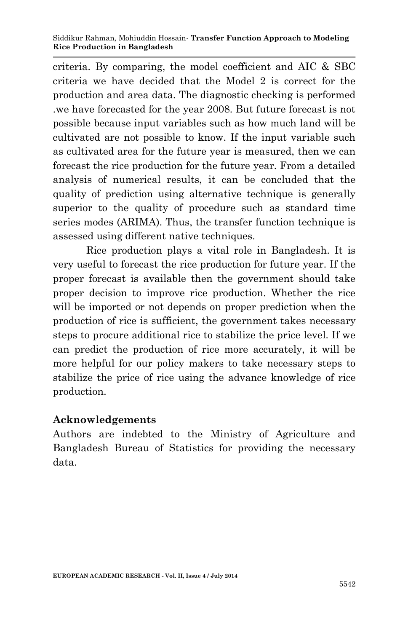criteria. By comparing, the model coefficient and AIC & SBC criteria we have decided that the Model 2 is correct for the production and area data. The diagnostic checking is performed .we have forecasted for the year 2008. But future forecast is not possible because input variables such as how much land will be cultivated are not possible to know. If the input variable such as cultivated area for the future year is measured, then we can forecast the rice production for the future year. From a detailed analysis of numerical results, it can be concluded that the quality of prediction using alternative technique is generally superior to the quality of procedure such as standard time series modes (ARIMA). Thus, the transfer function technique is assessed using different native techniques.

Rice production plays a vital role in Bangladesh. It is very useful to forecast the rice production for future year. If the proper forecast is available then the government should take proper decision to improve rice production. Whether the rice will be imported or not depends on proper prediction when the production of rice is sufficient, the government takes necessary steps to procure additional rice to stabilize the price level. If we can predict the production of rice more accurately, it will be more helpful for our policy makers to take necessary steps to stabilize the price of rice using the advance knowledge of rice production.

## **Acknowledgements**

Authors are indebted to the Ministry of Agriculture and Bangladesh Bureau of Statistics for providing the necessary data.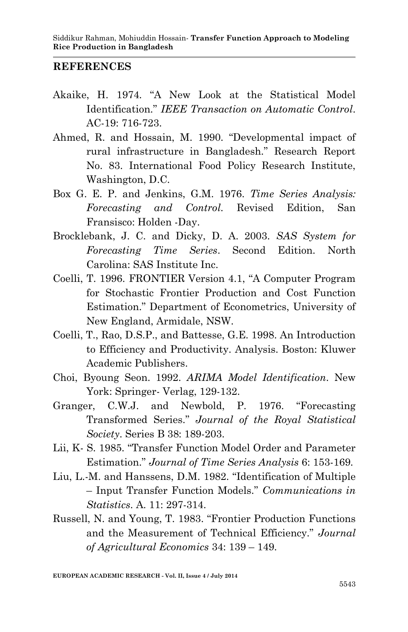#### **REFERENCES**

- Akaike, H. 1974. "A New Look at the Statistical Model Identification." *IEEE Transaction on Automatic Control*. AC-19: 716-723.
- Ahmed, R. and Hossain, M. 1990. "Developmental impact of rural infrastructure in Bangladesh." Research Report No. 83. International Food Policy Research Institute, Washington, D.C.
- Box G. E. P. and Jenkins, G.M. 1976. *Time Series Analysis: Forecasting and Control.* Revised Edition, San Fransisco: Holden -Day.
- Brocklebank, J. C. and Dicky, D. A. 2003. *SAS System for Forecasting Time Series*. Second Edition. North Carolina: SAS Institute Inc.
- Coelli, T. 1996. FRONTIER Version 4.1, "A Computer Program for Stochastic Frontier Production and Cost Function Estimation." Department of Econometrics, University of New England, Armidale, NSW.
- Coelli, T., Rao, D.S.P., and Battesse, G.E. 1998. An Introduction to Efficiency and Productivity. Analysis. Boston: Kluwer Academic Publishers.
- Choi, Byoung Seon. 1992. *ARIMA Model Identification*. New York: Springer- Verlag, 129-132.
- Granger, C.W.J. and Newbold, P. 1976. "Forecasting Transformed Series." *Journal of the Royal Statistical Society*. Series B 38: 189-203.
- Lii, K- S. 1985. "Transfer Function Model Order and Parameter Estimation." *Journal of Time Series Analysis* 6: 153-169.
- Liu, L.-M. and Hanssens, D.M. 1982. "Identification of Multiple – Input Transfer Function Models." *Communications in Statistics*. A. 11: 297-314.
- Russell, N. and Young, T. 1983. "Frontier Production Functions and the Measurement of Technical Efficiency." *Journal of Agricultural Economics* 34: 139 – 149.